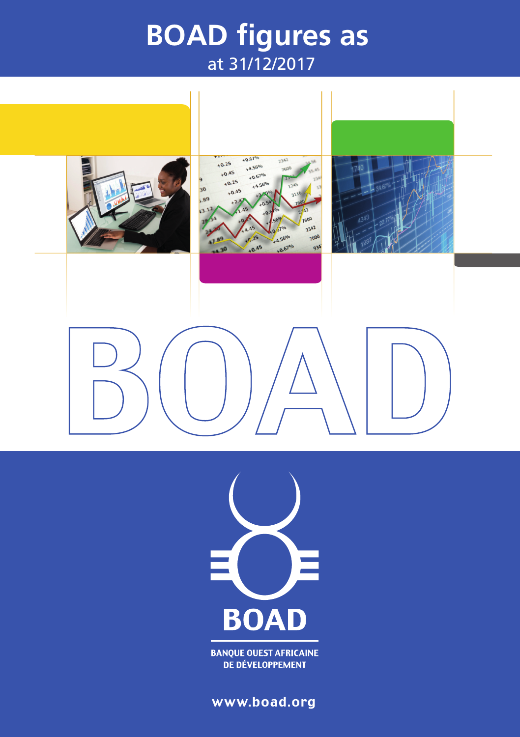# **BOAD figures as**  at 31/12/2017





**BANQUE OUEST AFRICAINE DE DÉVELOPPEMENT** 

www.boad.org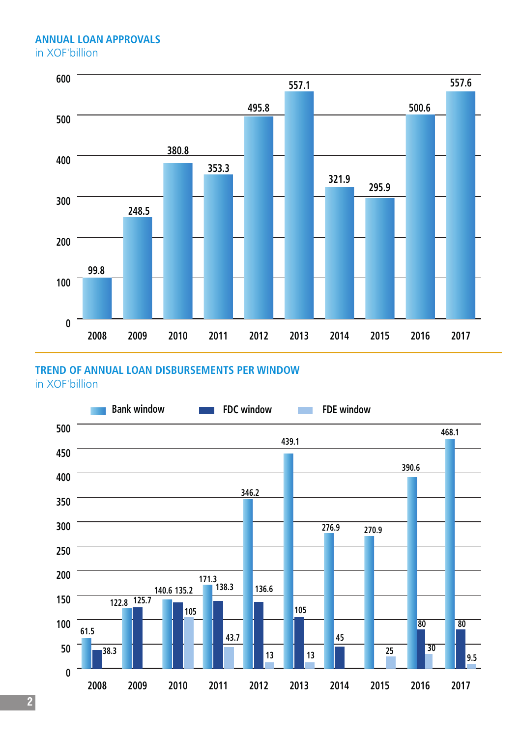#### **ANNUAL LOAN APPROVALS** in XOF'billion



## **TREND OF ANNUAL LOAN DISBURSEMENTS PER WINDOW**

in XOF'billion

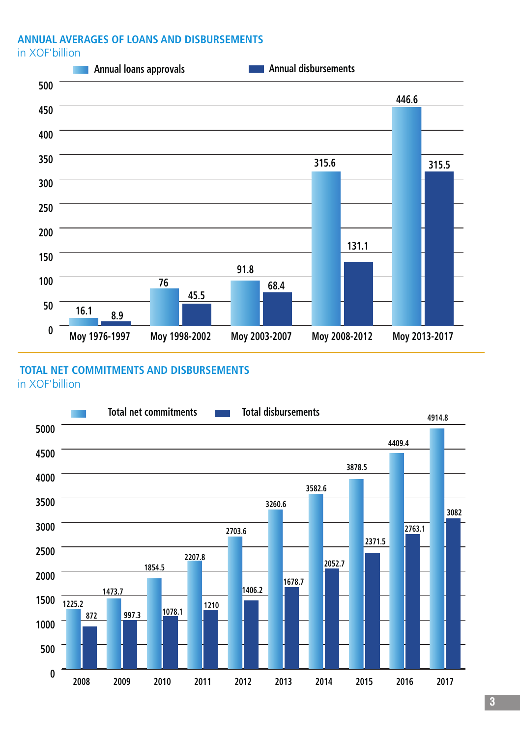# **ANNUAL AVERAGES OF LOANS AND DISBURSEMENTS**

in XOF'billion



#### **TOTAL NET COMMITMENTS AND DISBURSEMENTS**

in XOF'billion

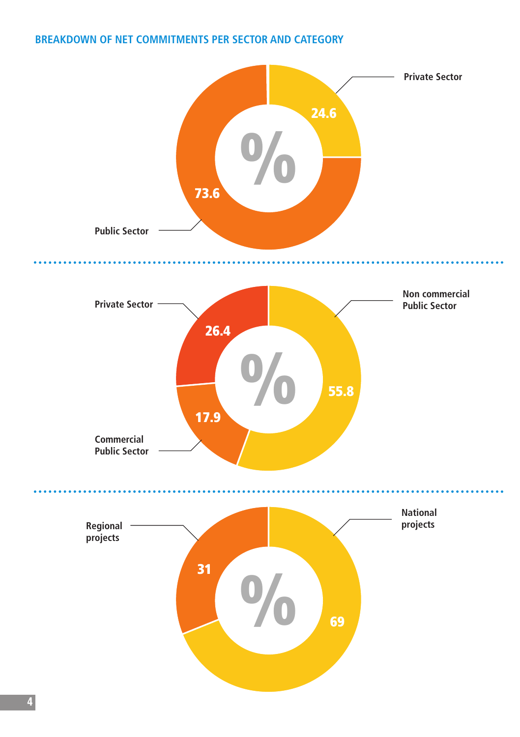## **BREAKDOWN OF NET COMMITMENTS PER SECTOR AND CATEGORY**

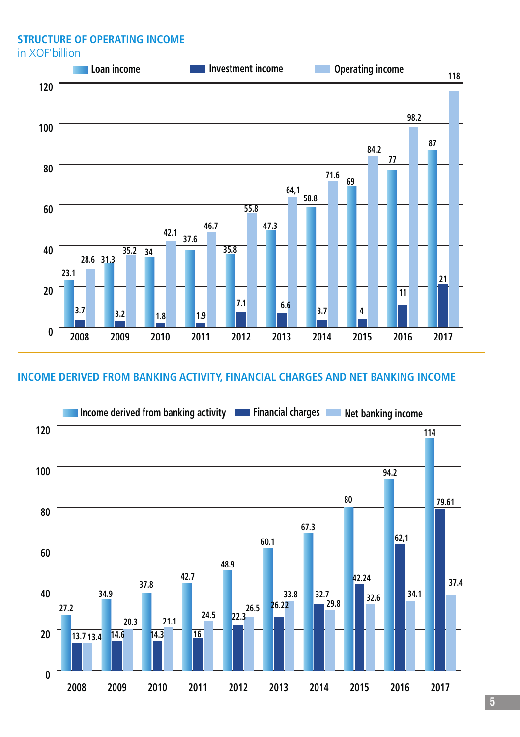**STRUCTURE OF OPERATING INCOME**

in XOF'billion



#### **INCOME DERIVED FROM BANKING ACTIVITY, FINANCIAL CHARGES AND NET BANKING INCOME**

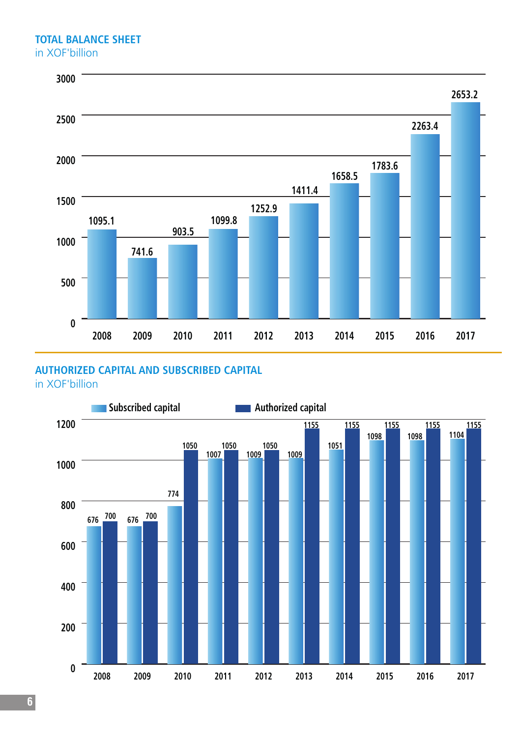#### **TOTAL BALANCE SHEET** in XOF'billion



### **AUTHORIZED CAPITAL AND SUBSCRIBED CAPITAL**

in XOF'billion

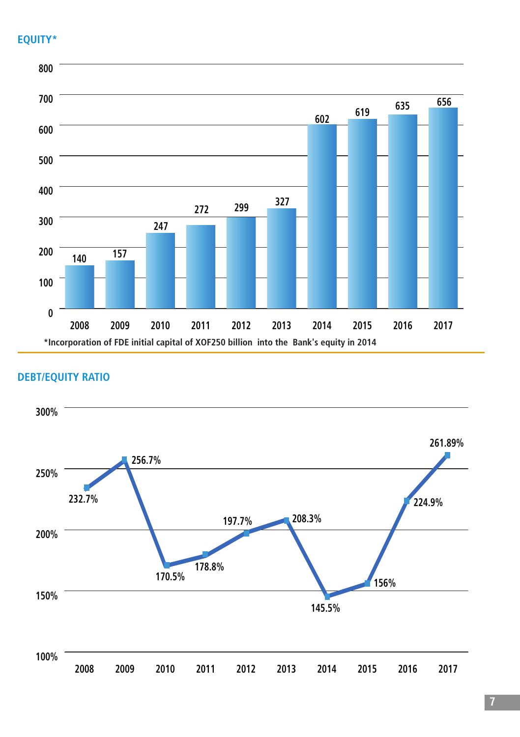### **EQUITY\***



### **DEBT/EQUITY RATIO**



**7**